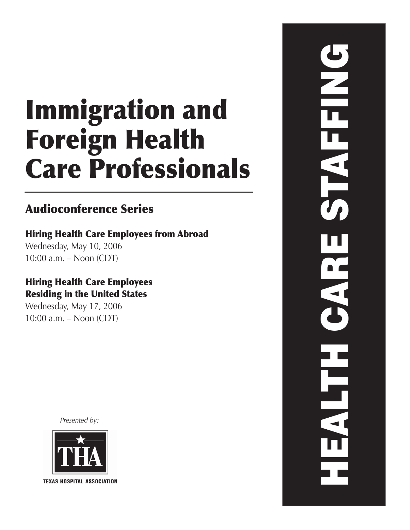# Immigration and Foreign Health Care Professionals

# Audioconference Series

# Hiring Health Care Employees from Abroad

Wednesday, May 10, 2006 10:00 a.m. – Noon (CDT)

## Hiring Health Care Employees Residing in the United States

Wednesday, May 17, 2006 10:00 a.m. – Noon (CDT)

*Presented by:*



**TEXAS HOSPITAL ASSOCIATION** 

HEALTH CARE STAFFING **ALAMENTS** EST.  $\frac{1}{2}$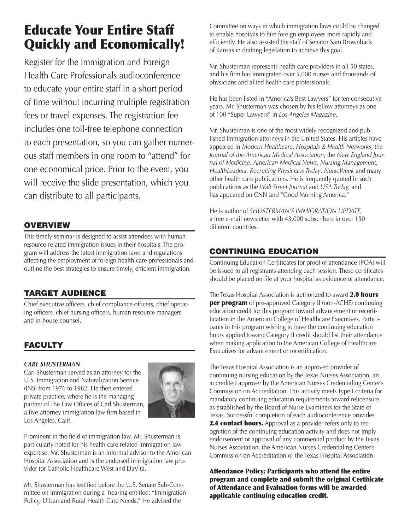# Educate Your Entire Staff Quickly and Economically!

Register for the Immigration and Foreign Health Care Professionals audioconference to educate your entire staff in a short period of time without incurring multiple registration fees or travel expenses. The registration fee includes one toll-free telephone connection to each presentation, so you can gather numerous staff members in one room to "attend" for one economical price. Prior to the event, you will receive the slide presentation, which you can distribute to all participants.

## **OVERVIEW**

This timely seminar is designed to assist attendees with human resource-related immigration issues in their hospitals. The program will address the latest immigration laws and regulations affecting the employment of foreign health care professionals and outline the best strategies to ensure timely, efficient immigration.

## TARGET AUDIENCE

Chief executive officers, chief compliance officers, chief operating officers, chief nursing officers, human resource managers and in-house counsel.

## FACULTY

## *CARL SHUSTERMAN*

Carl Shusterman served as an attorney for the U.S. Immigration and Naturalization Service (INS) from 1976 to 1982. He then entered private practice, where he is the managing partner of The Law Offices of Carl Shusterman, a five-attorney immigration law firm based in Los Angeles, Calif.



Prominent in the field of immigration law, Mr. Shusterman is particularly noted for his health care related immigration law expertise. Mr. Shusterman is an informal advisor to the American Hospital Association and is the endorsed immigration law provider for Catholic Healthcare West and DaVita.

Mr. Shusterman has testified before the U.S. Senate Sub-Committee on Immigration during a hearing entitled: "Immigration Policy, Urban and Rural Health Care Needs." He advised the

Committee on ways in which immigration laws could be changed to enable hospitals to hire foreign employees more rapidly and efficiently. He also assisted the staff of Senator Sam Brownback of Kansas in drafting legislation to achieve this goal.

Mr. Shusterman represents health care providers in all 50 states, and his firm has immigrated over 5,000 nurses and thousands of physicians and allied health care professionals.

He has been listed in "America's Best Lawyers" for ten consecutive years. Mr. Shusterman was chosen by his fellow attorneys as one of 100 "Super Lawyers" in *Los Angeles Magazine.* 

Mr. Shusterman is one of the most widely recognized and published immigration attorneys in the United States. His articles have appeared in *Modern Healthcare*, *Hospitals & Health Networks*, the *Journal of the American Medical Association*, the *New England Journal of Medicine*, *American Medical News*, *Nursing Management*, *HealthLeaders*, *Recruiting Physicians Today*, *NurseWeek* and many other health care publications. He is frequently quoted in such publications as the *Wall Street Journal* and *USA Today,* and has appeared on CNN and "Good Morning America."

He is author of *SHUSTERMAN'S IMMIGRATION UPDATE,*  a free e-mail newsletter with 43,000 subscribers in over 150 different countries.

## CONTINUING EDUCATION

Continuing Education Certificates for proof of attendance (POA) will be issued to all registrants attending each session. These certificates should be placed on file at your hospital as evidence of attendance.

The Texas Hospital Association is authorized to award 2.0 hours **per program** of pre-approved Category II (non-ACHE) continuing education credit for this program toward advancement or recertification in the American College of Healthcare Executives. Participants in this program wishing to have the continuing education hours applied toward Category II credit should list their attendance when making application to the American College of Healthcare Executives for advancement or recertification.

The Texas Hospital Association is an approved provider of continuing nursing education by the Texas Nurses Association, an accredited approver by the American Nurses Credentialing Center's Commission on Accreditation. This activity meets Type I criteria for mandatory continuing education requirements toward relicensure as established by the Board of Nurse Examiners for the State of Texas. Successful completion of each audioconference provides 2.4 contact hours. Approval as a provider refers only to recognition of the continuing education activity and does not imply endorsement or approval of any commercial product by the Texas Nurses Association, the American Nurses Credentialing Center's Commission on Accreditation or the Texas Hospital Association.

Attendance Policy: Participants who attend the entire program and complete and submit the original Certificate of Attendance and Evaluation forms will be awarded applicable continuing education credit.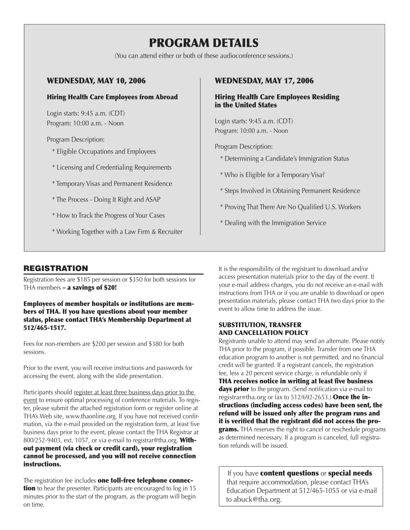# PROGRAM DETAILS

(You can attend either or both of these audioconference sessions.)

## WEDNESDAY, MAY 10, 2006

### Hiring Health Care Employees from Abroad

Login starts: 9:45 a.m. (CDT) Program: 10:00 a.m. - Noon

Program Description:

- \* Eligible Occupations and Employees
- \* Licensing and Credentialing Requirements
- \* Temporary Visas and Permanent Residence
- \* The Process Doing It Right and ASAP
- \* How to Track the Progress of Your Cases
- \* Working Together with a Law Firm & Recruiter

## WEDNESDAY, MAY 17, 2006

#### Hiring Health Care Employees Residing in the United States

Login starts: 9:45 a.m. (CDT) Program: 10:00 a.m. - Noon

Program Description:

- \* Determining a Candidate's Immigration Status
- \* Who is Eligible for a Temporary Visa?
- \* Steps Involved in Obtaining Permanent Residence
- \* Proving That There Are No Qualified U.S. Workers
- \* Dealing with the Immigration Service

## **REGISTRATION**

Registration fees are \$185 per session or \$350 for both sessions for THA members – a savings of \$20!

#### Employees of member hospitals or institutions are members of THA. If you have questions about your member status, please contact THA's Membership Department at 512/465-1517.

Fees for non-members are \$200 per session and \$380 for both sessions.

Prior to the event, you will receive instructions and passwords for accessing the event, along with the slide presentation.

Participants should register at least three business days prior to the event to ensure optimal processing of conference materials. To register, please submit the attached registration form or register online at THA's Web site, www.thaonline.org. If you have not received confirmation, via the e-mail provided on the registration form, at least five business days prior to the event, please contact the THA Registrar at 800/252-9403, ext. 1057, or via e-mail to registrar@tha.org. Without payment (via check or credit card), your registration cannot be processed, and you will not receive connection instructions.

The registration fee includes **one toll-free telephone connection** to hear the presenter. Participants are encouraged to log in 15 minutes prior to the start of the program, as the program will begin on time.

It is the responsibility of the registrant to download and/or access presentation materials prior to the day of the event. If your e-mail address changes, you do not receive an e-mail with instructions from THA or if you are unable to download or open presentation materials, please contact THA two days prior to the event to allow time to address the issue.

### SUBSTITUTION, TRANSFER AND CANCELLATION POLICY

Registrants unable to attend may send an alternate. Please notify THA prior to the program, if possible. Transfer from one THA education program to another is not permitted, and no financial credit will be granted. If a registrant cancels, the registration fee, less a 20 percent service charge, is refundable only if THA receives notice in writing at least five business days prior to the program. (Send notification via e-mail to registrar@tha.org or fax to  $512/692-2653$ .) **Once the in**structions (including access codes) have been sent, the refund will be issued only after the program runs and it is verified that the registrant did not access the pro**grams.** THA reserves the right to cancel or reschedule programs as determined necessary. If a program is canceled, full registration refunds will be issued.

If you have **content questions** or **special needs** that require accommodation, please contact THA's Education Department at 512/465-1055 or via e-mail to abuck@tha.org.